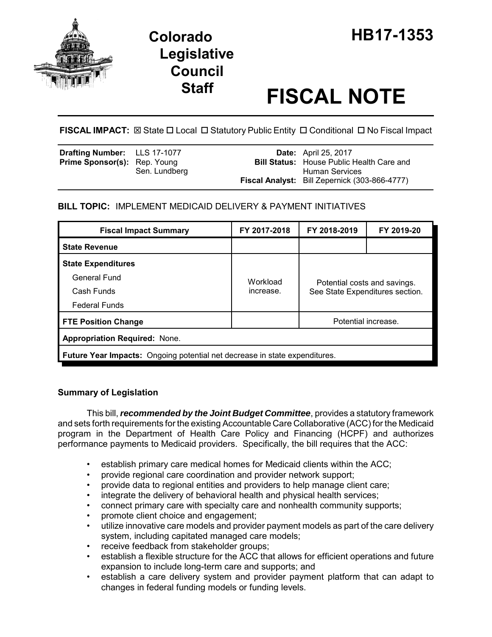

# **Legislative Council**

# **Staff FISCAL NOTE**

FISCAL IMPACT:  $\boxtimes$  State  $\Box$  Local  $\Box$  Statutory Public Entity  $\Box$  Conditional  $\Box$  No Fiscal Impact

| <b>Drafting Number:</b> LLS 17-1077 |               | <b>Date:</b> April 25, 2017                                            |
|-------------------------------------|---------------|------------------------------------------------------------------------|
| <b>Prime Sponsor(s): Rep. Young</b> |               | <b>Bill Status:</b> House Public Health Care and                       |
|                                     | Sen. Lundberg | Human Services<br><b>Fiscal Analyst:</b> Bill Zepernick (303-866-4777) |

# **BILL TOPIC:** IMPLEMENT MEDICAID DELIVERY & PAYMENT INITIATIVES

| <b>Fiscal Impact Summary</b>                                                      | FY 2017-2018 | FY 2018-2019                                                    | FY 2019-20          |  |  |  |
|-----------------------------------------------------------------------------------|--------------|-----------------------------------------------------------------|---------------------|--|--|--|
| <b>State Revenue</b>                                                              |              |                                                                 |                     |  |  |  |
| <b>State Expenditures</b>                                                         |              |                                                                 |                     |  |  |  |
| General Fund                                                                      | Workload     | Potential costs and savings.<br>See State Expenditures section. |                     |  |  |  |
| Cash Funds                                                                        | increase.    |                                                                 |                     |  |  |  |
| <b>Federal Funds</b>                                                              |              |                                                                 |                     |  |  |  |
| <b>FTE Position Change</b>                                                        |              |                                                                 | Potential increase. |  |  |  |
| <b>Appropriation Required: None.</b>                                              |              |                                                                 |                     |  |  |  |
| <b>Future Year Impacts:</b> Ongoing potential net decrease in state expenditures. |              |                                                                 |                     |  |  |  |

### **Summary of Legislation**

This bill, *recommended by the Joint Budget Committee*, provides a statutory framework and sets forth requirements for the existing Accountable Care Collaborative (ACC) for the Medicaid program in the Department of Health Care Policy and Financing (HCPF) and authorizes performance payments to Medicaid providers. Specifically, the bill requires that the ACC:

- establish primary care medical homes for Medicaid clients within the ACC;
- provide regional care coordination and provider network support;
- provide data to regional entities and providers to help manage client care;
- integrate the delivery of behavioral health and physical health services;
- connect primary care with specialty care and nonhealth community supports;
- promote client choice and engagement;
- utilize innovative care models and provider payment models as part of the care delivery system, including capitated managed care models;
- receive feedback from stakeholder groups;
- establish a flexible structure for the ACC that allows for efficient operations and future expansion to include long-term care and supports; and
- establish a care delivery system and provider payment platform that can adapt to changes in federal funding models or funding levels.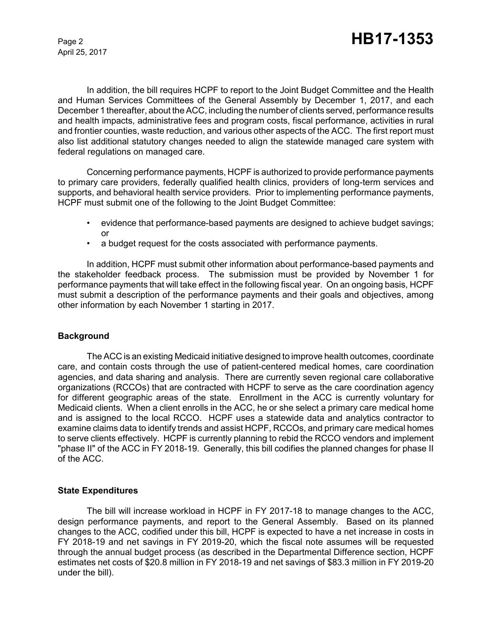April 25, 2017

In addition, the bill requires HCPF to report to the Joint Budget Committee and the Health and Human Services Committees of the General Assembly by December 1, 2017, and each December 1 thereafter, about the ACC, including the number of clients served, performance results and health impacts, administrative fees and program costs, fiscal performance, activities in rural and frontier counties, waste reduction, and various other aspects of the ACC. The first report must also list additional statutory changes needed to align the statewide managed care system with federal regulations on managed care.

Concerning performance payments, HCPF is authorized to provide performance payments to primary care providers, federally qualified health clinics, providers of long-term services and supports, and behavioral health service providers. Prior to implementing performance payments, HCPF must submit one of the following to the Joint Budget Committee:

- evidence that performance-based payments are designed to achieve budget savings; or
- a budget request for the costs associated with performance payments.

In addition, HCPF must submit other information about performance-based payments and the stakeholder feedback process. The submission must be provided by November 1 for performance payments that will take effect in the following fiscal year. On an ongoing basis, HCPF must submit a description of the performance payments and their goals and objectives, among other information by each November 1 starting in 2017.

#### **Background**

The ACC is an existing Medicaid initiative designed to improve health outcomes, coordinate care, and contain costs through the use of patient-centered medical homes, care coordination agencies, and data sharing and analysis. There are currently seven regional care collaborative organizations (RCCOs) that are contracted with HCPF to serve as the care coordination agency for different geographic areas of the state. Enrollment in the ACC is currently voluntary for Medicaid clients. When a client enrolls in the ACC, he or she select a primary care medical home and is assigned to the local RCCO. HCPF uses a statewide data and analytics contractor to examine claims data to identify trends and assist HCPF, RCCOs, and primary care medical homes to serve clients effectively. HCPF is currently planning to rebid the RCCO vendors and implement "phase II" of the ACC in FY 2018-19. Generally, this bill codifies the planned changes for phase II of the ACC.

#### **State Expenditures**

The bill will increase workload in HCPF in FY 2017-18 to manage changes to the ACC, design performance payments, and report to the General Assembly. Based on its planned changes to the ACC, codified under this bill, HCPF is expected to have a net increase in costs in FY 2018-19 and net savings in FY 2019-20, which the fiscal note assumes will be requested through the annual budget process (as described in the Departmental Difference section, HCPF estimates net costs of \$20.8 million in FY 2018-19 and net savings of \$83.3 million in FY 2019-20 under the bill).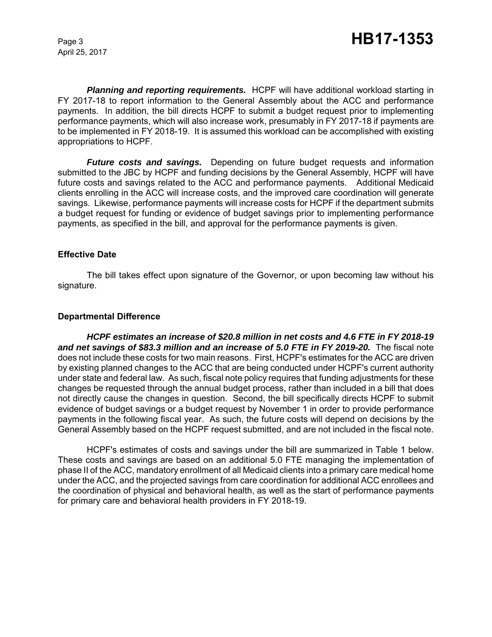April 25, 2017

*Planning and reporting requirements.* HCPF will have additional workload starting in FY 2017-18 to report information to the General Assembly about the ACC and performance payments. In addition, the bill directs HCPF to submit a budget request prior to implementing performance payments, which will also increase work, presumably in FY 2017-18 if payments are to be implemented in FY 2018-19. It is assumed this workload can be accomplished with existing appropriations to HCPF.

*Future costs and savings.* Depending on future budget requests and information submitted to the JBC by HCPF and funding decisions by the General Assembly, HCPF will have future costs and savings related to the ACC and performance payments. Additional Medicaid clients enrolling in the ACC will increase costs, and the improved care coordination will generate savings. Likewise, performance payments will increase costs for HCPF if the department submits a budget request for funding or evidence of budget savings prior to implementing performance payments, as specified in the bill, and approval for the performance payments is given.

#### **Effective Date**

The bill takes effect upon signature of the Governor, or upon becoming law without his signature.

#### **Departmental Difference**

*HCPF estimates an increase of \$20.8 million in net costs and 4.6 FTE in FY 2018-19 and net savings of \$83.3 million and an increase of 5.0 FTE in FY 2019-20.* The fiscal note does not include these costs for two main reasons. First, HCPF's estimates for the ACC are driven by existing planned changes to the ACC that are being conducted under HCPF's current authority under state and federal law. As such, fiscal note policy requires that funding adjustments for these changes be requested through the annual budget process, rather than included in a bill that does not directly cause the changes in question. Second, the bill specifically directs HCPF to submit evidence of budget savings or a budget request by November 1 in order to provide performance payments in the following fiscal year. As such, the future costs will depend on decisions by the General Assembly based on the HCPF request submitted, and are not included in the fiscal note.

HCPF's estimates of costs and savings under the bill are summarized in Table 1 below. These costs and savings are based on an additional 5.0 FTE managing the implementation of phase II of the ACC, mandatory enrollment of all Medicaid clients into a primary care medical home under the ACC, and the projected savings from care coordination for additional ACC enrollees and the coordination of physical and behavioral health, as well as the start of performance payments for primary care and behavioral health providers in FY 2018-19.